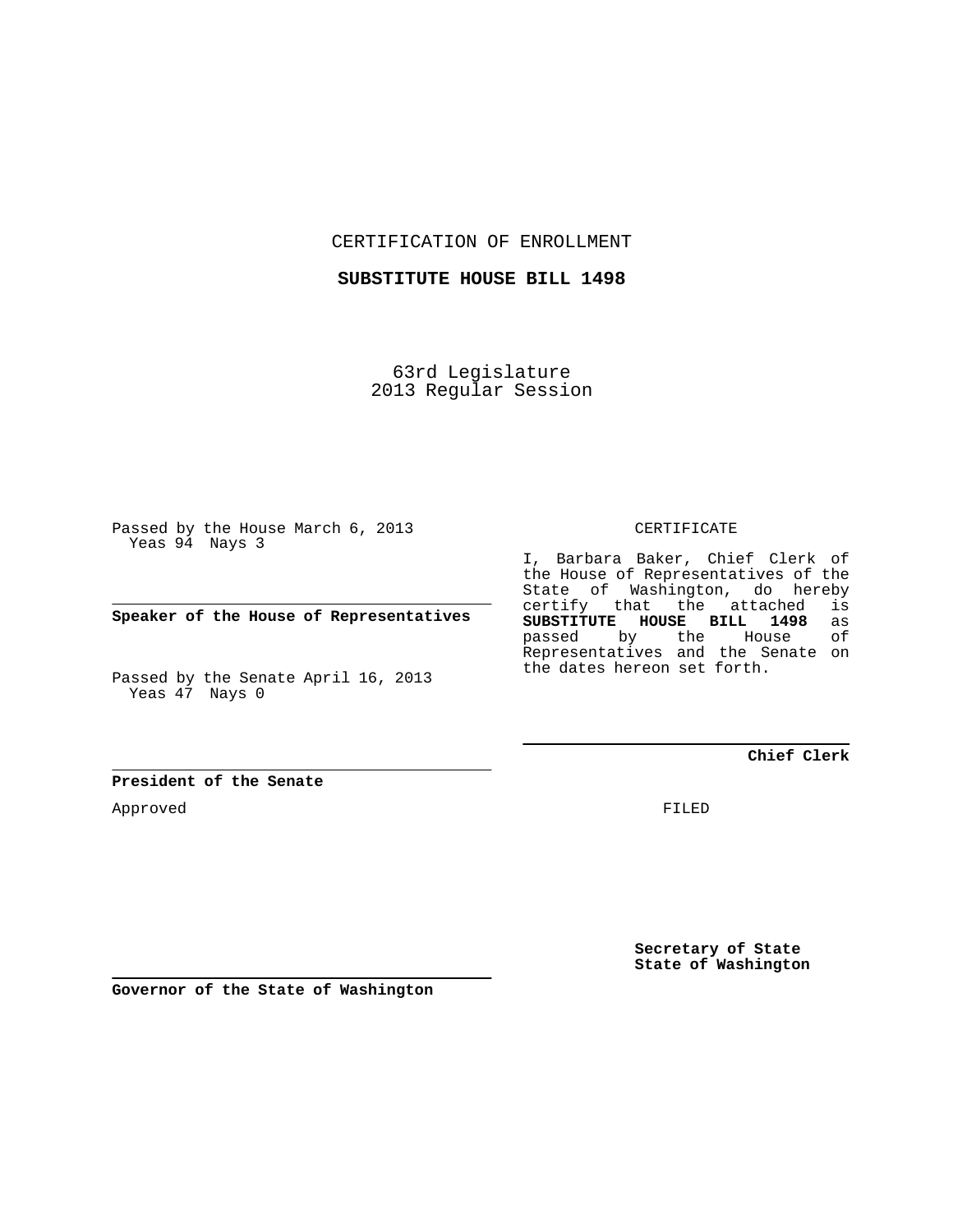CERTIFICATION OF ENROLLMENT

**SUBSTITUTE HOUSE BILL 1498**

63rd Legislature 2013 Regular Session

Passed by the House March 6, 2013 Yeas 94 Nays 3

**Speaker of the House of Representatives**

Passed by the Senate April 16, 2013 Yeas 47 Nays 0

**President of the Senate**

Approved

CERTIFICATE

I, Barbara Baker, Chief Clerk of the House of Representatives of the State of Washington, do hereby certify that the attached is<br>SUBSTITUTE HOUSE BILL 1498 as **SUBSTITUTE HOUSE BILL 1498** as passed by the Representatives and the Senate on the dates hereon set forth.

**Chief Clerk**

FILED

**Secretary of State State of Washington**

**Governor of the State of Washington**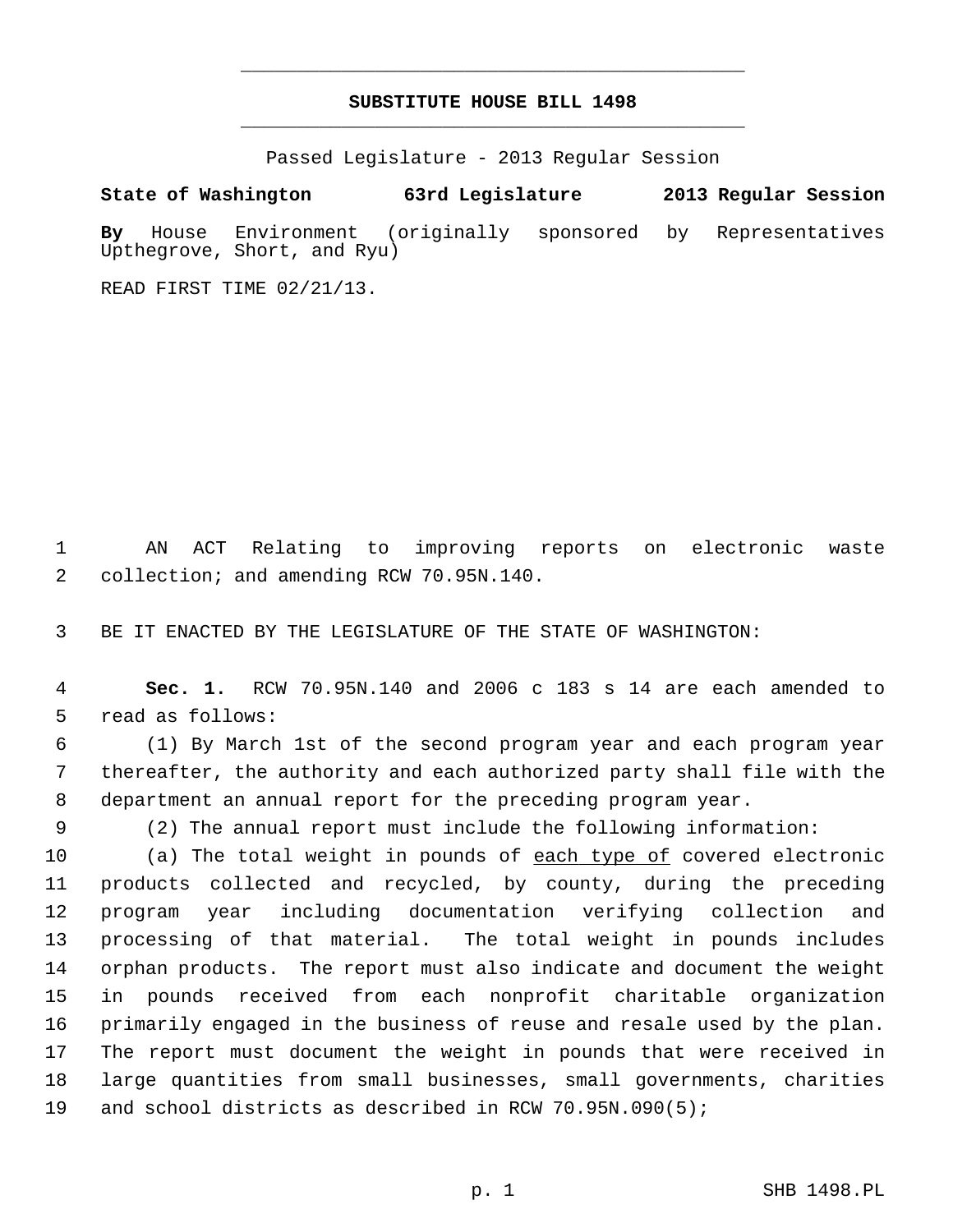## **SUBSTITUTE HOUSE BILL 1498** \_\_\_\_\_\_\_\_\_\_\_\_\_\_\_\_\_\_\_\_\_\_\_\_\_\_\_\_\_\_\_\_\_\_\_\_\_\_\_\_\_\_\_\_\_

\_\_\_\_\_\_\_\_\_\_\_\_\_\_\_\_\_\_\_\_\_\_\_\_\_\_\_\_\_\_\_\_\_\_\_\_\_\_\_\_\_\_\_\_\_

Passed Legislature - 2013 Regular Session

**State of Washington 63rd Legislature 2013 Regular Session By** House Environment (originally sponsored by Representatives Upthegrove, Short, and Ryu)

READ FIRST TIME 02/21/13.

 1 AN ACT Relating to improving reports on electronic waste 2 collection; and amending RCW 70.95N.140.

3 BE IT ENACTED BY THE LEGISLATURE OF THE STATE OF WASHINGTON:

 4 **Sec. 1.** RCW 70.95N.140 and 2006 c 183 s 14 are each amended to 5 read as follows:

 6 (1) By March 1st of the second program year and each program year 7 thereafter, the authority and each authorized party shall file with the 8 department an annual report for the preceding program year.

9 (2) The annual report must include the following information:

10 (a) The total weight in pounds of each type of covered electronic 11 products collected and recycled, by county, during the preceding 12 program year including documentation verifying collection and 13 processing of that material. The total weight in pounds includes 14 orphan products. The report must also indicate and document the weight 15 in pounds received from each nonprofit charitable organization 16 primarily engaged in the business of reuse and resale used by the plan. 17 The report must document the weight in pounds that were received in 18 large quantities from small businesses, small governments, charities 19 and school districts as described in RCW 70.95N.090(5);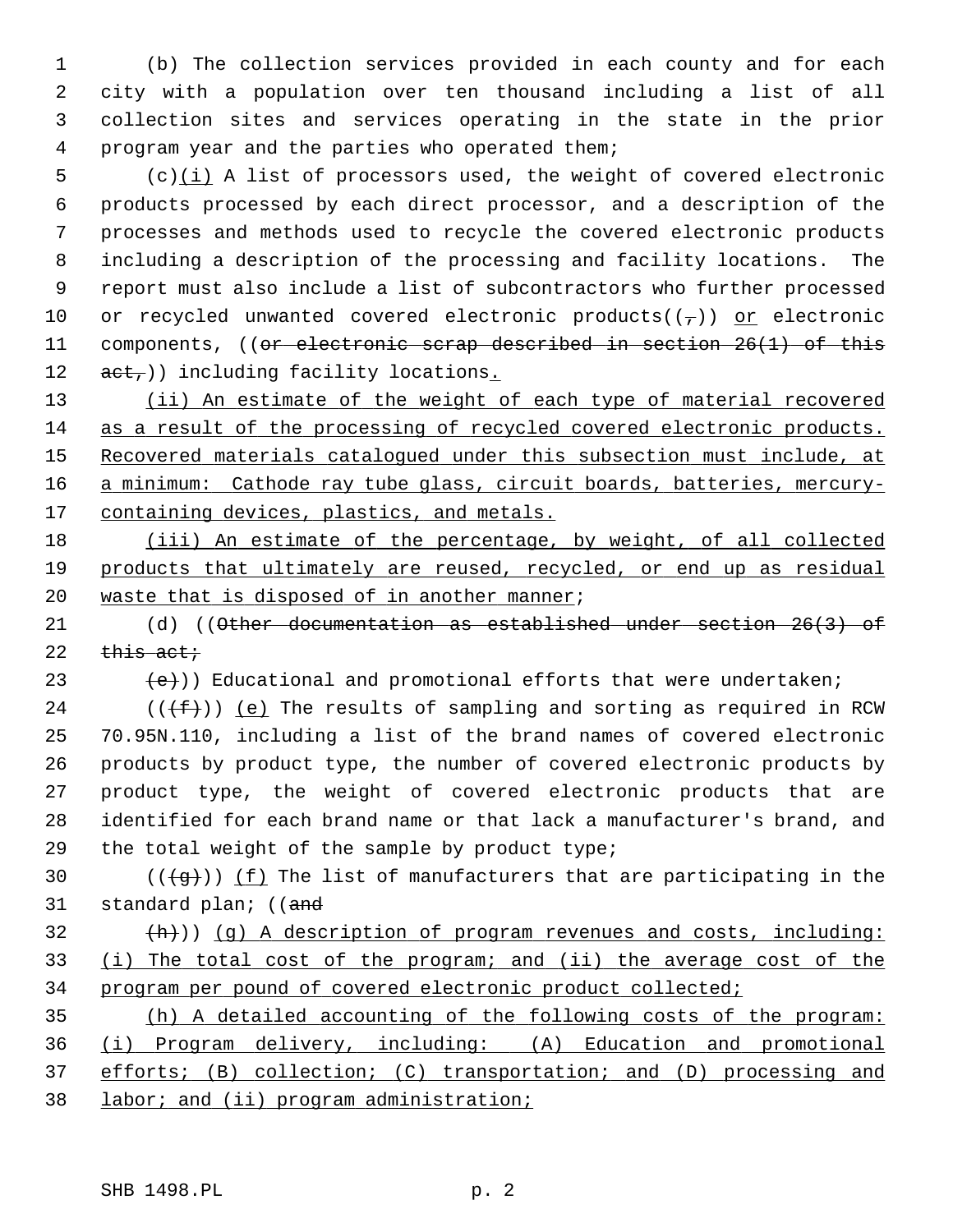1 (b) The collection services provided in each county and for each 2 city with a population over ten thousand including a list of all 3 collection sites and services operating in the state in the prior 4 program year and the parties who operated them;

 $5$  (c) $(i)$  A list of processors used, the weight of covered electronic 6 products processed by each direct processor, and a description of the 7 processes and methods used to recycle the covered electronic products 8 including a description of the processing and facility locations. The 9 report must also include a list of subcontractors who further processed 10 or recycled unwanted covered electronic products( $(\tau)$ ) or electronic 11 components, ((or electronic scrap described in section 26(1) of this 12  $act$ )) including facility locations.

 (ii) An estimate of the weight of each type of material recovered as a result of the processing of recycled covered electronic products. 15 Recovered materials catalogued under this subsection must include, at a minimum: Cathode ray tube glass, circuit boards, batteries, mercury-containing devices, plastics, and metals.

18 (iii) An estimate of the percentage, by weight, of all collected 19 products that ultimately are reused, recycled, or end up as residual 20 waste that is disposed of in another manner;

21 (d) ((Other documentation as established under section 26(3) of 22  $this$  act;

23  $(e)$ ) Educational and promotional efforts that were undertaken;

24 ( $(\{\text{f}\})$ ) (e) The results of sampling and sorting as required in RCW 25 70.95N.110, including a list of the brand names of covered electronic 26 products by product type, the number of covered electronic products by 27 product type, the weight of covered electronic products that are 28 identified for each brand name or that lack a manufacturer's brand, and 29 the total weight of the sample by product type;

30 ( $(\overline{q})$ ) (f) The list of manufacturers that are participating in the 31 standard plan; ((and

 $\{\hbox{h}\}\)$  (q) A description of program revenues and costs, including: 33 (i) The total cost of the program; and (ii) the average cost of the 34 program per pound of covered electronic product collected;

 (h) A detailed accounting of the following costs of the program: (i) Program delivery, including: (A) Education and promotional efforts; (B) collection; (C) transportation; and (D) processing and labor; and (ii) program administration;